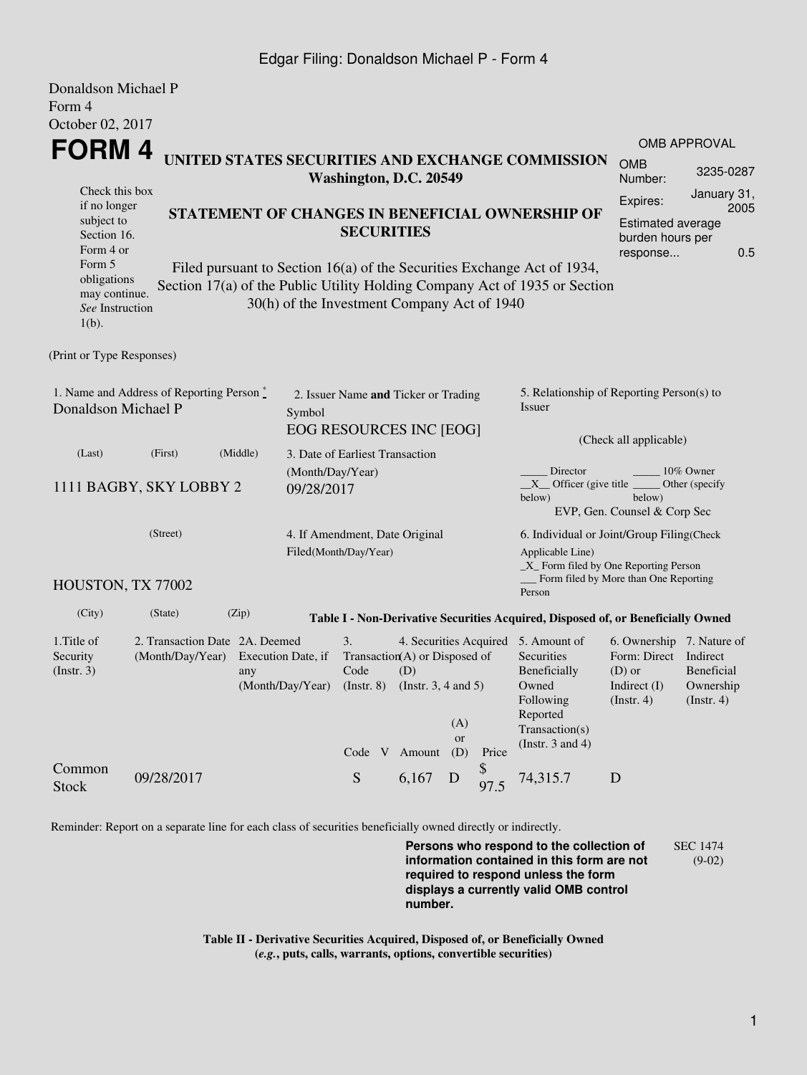## Edgar Filing: Donaldson Michael P - Form 4

| Donaldson Michael P                                                                               |                                                                            |                                                                                 |                                             |                                                |  |                                                                                                                                                                                                          |                                                                                                                                                 |            |                                                                                                         |                                                                                        |                                                    |  |  |
|---------------------------------------------------------------------------------------------------|----------------------------------------------------------------------------|---------------------------------------------------------------------------------|---------------------------------------------|------------------------------------------------|--|----------------------------------------------------------------------------------------------------------------------------------------------------------------------------------------------------------|-------------------------------------------------------------------------------------------------------------------------------------------------|------------|---------------------------------------------------------------------------------------------------------|----------------------------------------------------------------------------------------|----------------------------------------------------|--|--|
| Form 4                                                                                            |                                                                            |                                                                                 |                                             |                                                |  |                                                                                                                                                                                                          |                                                                                                                                                 |            |                                                                                                         |                                                                                        |                                                    |  |  |
| October 02, 2017                                                                                  |                                                                            |                                                                                 |                                             |                                                |  |                                                                                                                                                                                                          |                                                                                                                                                 |            |                                                                                                         |                                                                                        |                                                    |  |  |
| FORM 4                                                                                            |                                                                            |                                                                                 |                                             |                                                |  |                                                                                                                                                                                                          |                                                                                                                                                 |            |                                                                                                         | <b>OMB APPROVAL</b>                                                                    |                                                    |  |  |
|                                                                                                   | UNITED STATES SECURITIES AND EXCHANGE COMMISSION<br>Washington, D.C. 20549 |                                                                                 |                                             |                                                |  |                                                                                                                                                                                                          |                                                                                                                                                 |            | <b>OMB</b><br>Number:                                                                                   | 3235-0287                                                                              |                                                    |  |  |
| Check this box<br>if no longer<br>subject to<br>Section 16.<br>Form 4 or<br>Form 5<br>obligations |                                                                            |                                                                                 | <b>SECURITIES</b>                           |                                                |  | STATEMENT OF CHANGES IN BENEFICIAL OWNERSHIP OF<br>Filed pursuant to Section 16(a) of the Securities Exchange Act of 1934,<br>Section 17(a) of the Public Utility Holding Company Act of 1935 or Section | January 31,<br>Expires:<br>2005<br>Estimated average<br>burden hours per<br>0.5<br>response                                                     |            |                                                                                                         |                                                                                        |                                                    |  |  |
| may continue.<br>See Instruction<br>$1(b)$ .                                                      |                                                                            |                                                                                 | 30(h) of the Investment Company Act of 1940 |                                                |  |                                                                                                                                                                                                          |                                                                                                                                                 |            |                                                                                                         |                                                                                        |                                                    |  |  |
| (Print or Type Responses)                                                                         |                                                                            |                                                                                 |                                             |                                                |  |                                                                                                                                                                                                          |                                                                                                                                                 |            |                                                                                                         |                                                                                        |                                                    |  |  |
| 1. Name and Address of Reporting Person *<br>Donaldson Michael P<br>Symbol                        |                                                                            |                                                                                 |                                             |                                                |  | 2. Issuer Name and Ticker or Trading<br>EOG RESOURCES INC [EOG]                                                                                                                                          |                                                                                                                                                 |            | 5. Relationship of Reporting Person(s) to<br>Issuer                                                     |                                                                                        |                                                    |  |  |
| (Last)<br>(First)<br>(Middle)                                                                     |                                                                            |                                                                                 |                                             |                                                |  |                                                                                                                                                                                                          |                                                                                                                                                 |            | (Check all applicable)                                                                                  |                                                                                        |                                                    |  |  |
| 1111 BAGBY, SKY LOBBY 2                                                                           | 3. Date of Earliest Transaction<br>(Month/Day/Year)<br>09/28/2017          |                                                                                 |                                             |                                                |  |                                                                                                                                                                                                          | Director<br>10% Owner<br>$X$ Officer (give title $\overline{\phantom{a}}$<br>Other (specify<br>below)<br>below)<br>EVP, Gen. Counsel & Corp Sec |            |                                                                                                         |                                                                                        |                                                    |  |  |
| (Street)<br>4. If Amendment, Date Original<br>Filed(Month/Day/Year)                               |                                                                            |                                                                                 |                                             |                                                |  |                                                                                                                                                                                                          |                                                                                                                                                 |            | 6. Individual or Joint/Group Filing(Check<br>Applicable Line)<br>_X_ Form filed by One Reporting Person |                                                                                        |                                                    |  |  |
| HOUSTON, TX 77002                                                                                 |                                                                            |                                                                                 |                                             |                                                |  |                                                                                                                                                                                                          |                                                                                                                                                 |            | Person                                                                                                  | Form filed by More than One Reporting                                                  |                                                    |  |  |
| (City)                                                                                            | (State)                                                                    | (Zip)                                                                           |                                             |                                                |  |                                                                                                                                                                                                          |                                                                                                                                                 |            | Table I - Non-Derivative Securities Acquired, Disposed of, or Beneficially Owned                        |                                                                                        |                                                    |  |  |
| 1. Title of<br>Security<br>(Insert. 3)                                                            | (Month/Day/Year)                                                           | 2. Transaction Date 2A. Deemed<br>Execution Date, if<br>any<br>(Month/Day/Year) |                                             | 3.<br>Code<br>$($ Instr. $8)$<br>Code V Amount |  | 4. Securities Acquired 5. Amount of<br>Transaction(A) or Disposed of<br>(D)<br>(Instr. $3, 4$ and $5$ )<br>(A)<br>or<br>(D)<br>Price                                                                     |                                                                                                                                                 |            | Securities<br>Beneficially<br>Owned<br>Following<br>Reported<br>Transaction(s)<br>(Instr. $3$ and $4$ ) | 6. Ownership 7. Nature of<br>Form: Direct<br>$(D)$ or<br>Indirect $(I)$<br>(Insert. 4) | Indirect<br>Beneficial<br>Ownership<br>(Insert. 4) |  |  |
| Common<br><b>Stock</b>                                                                            | 09/28/2017                                                                 |                                                                                 |                                             | ${\mathbf S}$                                  |  | 6,167                                                                                                                                                                                                    | D                                                                                                                                               | \$<br>97.5 | 74,315.7                                                                                                | D                                                                                      |                                                    |  |  |

Reminder: Report on a separate line for each class of securities beneficially owned directly or indirectly.

**Persons who respond to the collection of information contained in this form are not required to respond unless the form displays a currently valid OMB control number.** SEC 1474 (9-02)

**Table II - Derivative Securities Acquired, Disposed of, or Beneficially Owned (***e.g.***, puts, calls, warrants, options, convertible securities)**